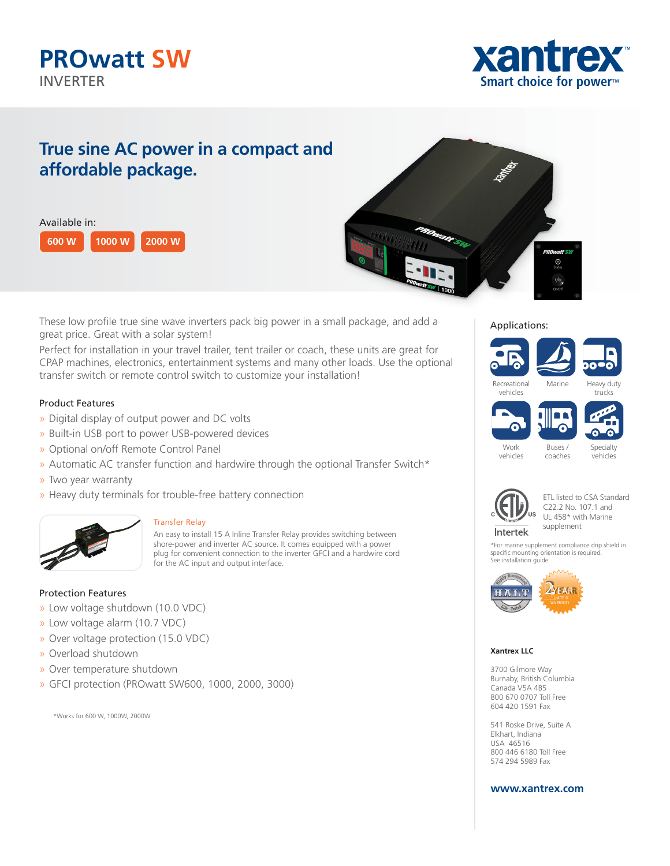# **PROwatt SW** INVERTER



# **True sine AC power in a compact and affordable package.**

| Available in: |       |               |  |
|---------------|-------|---------------|--|
| 600 W         | 1000W | <b>2000 W</b> |  |



These low profile true sine wave inverters pack big power in a small package, and add a great price. Great with a solar system!

Perfect for installation in your travel trailer, tent trailer or coach, these units are great for CPAP machines, electronics, entertainment systems and many other loads. Use the optional transfer switch or remote control switch to customize your installation!

## Product Features

- » Digital display of output power and DC volts
- » Built-in USB port to power USB-powered devices
- » Optional on/off Remote Control Panel
- » Automatic AC transfer function and hardwire through the optional Transfer Switch\*
- » Two year warranty
- » Heavy duty terminals for trouble-free battery connection



#### Transfer Relay

An easy to install 15 A Inline Transfer Relay provides switching between shore-power and inverter AC source. It comes equipped with a power plug for convenient connection to the inverter GFCI and a hardwire cord for the AC input and output interface.

### Protection Features

- » Low voltage shutdown (10.0 VDC)
- » Low voltage alarm (10.7 VDC)
- » Over voltage protection (15.0 VDC)
- » Overload shutdown
- » Over temperature shutdown
- » GFCI protection (PROwatt SW600, 1000, 2000, 3000)

\*Works for 600 W, 1000W, 2000W

#### Applications:

# Recreational vehicles Marine Heavy duty trucks

Buses / coaches





vehicles

Specialty vehicles





\*For marine supplement compliance drip shield in specific mounting orientation is required. See installation guide



#### **Xantrex LLC**

3700 Gilmore Way Burnaby, British Columbia Canada V5A 4B5 800 670 0707 Toll Free 604 420 1591 Fax

541 Roske Drive, Suite A Elkhart, Indiana USA 46516 800 446 6180 Toll Free 574 294 5989 Fax

### **www.xantrex.com**